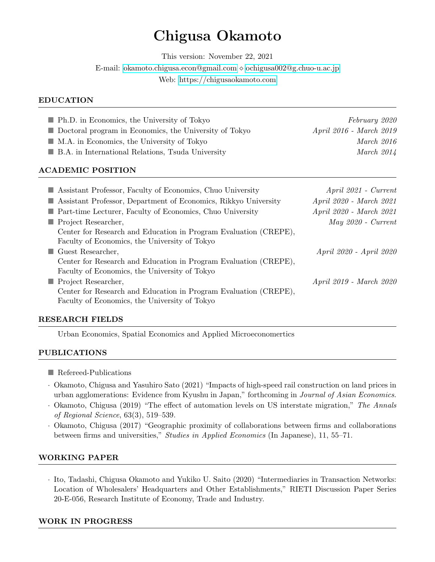# Chigusa Okamoto

This version: November 22, 2021

E-mail: [okamoto.chigusa.econ@gmail.com](mailto:okamoto.chigusa.econ@gmail.com) [ochigusa002@g.chuo-u.ac.jp](mailto:ochigusa002@g.chuo-u.ac.jp)

Web:<https://chigusaokamoto.com>

#### EDUCATION

| <b>Ph.D.</b> in Economics, the University of Tokyo                                                                | February 2020                  |
|-------------------------------------------------------------------------------------------------------------------|--------------------------------|
| Doctoral program in Economics, the University of Tokyo                                                            | April 2016 - March 2019        |
| $\blacksquare$ M.A. in Economics, the University of Tokyo                                                         | March 2016                     |
| ■ B.A. in International Relations, Tsuda University                                                               | March $2014$                   |
| <b>ACADEMIC POSITION</b>                                                                                          |                                |
| Assistant Professor, Faculty of Economics, Chuo University                                                        | $April 2021 - Current$         |
| Assistant Professor, Department of Economics, Rikkyo University                                                   | April 2020 - March 2021        |
| <b>Part-time Lecturer, Faculty of Economics, Chuo University</b>                                                  | <i>April 2020 - March 2021</i> |
| $\blacksquare$ Project Researcher,                                                                                | $May 2020 - Current$           |
| Center for Research and Education in Program Evaluation (CREPE),<br>Faculty of Economics, the University of Tokyo |                                |
| Guest Researcher,                                                                                                 | April 2020 - April 2020        |
| Center for Research and Education in Program Evaluation (CREPE),                                                  |                                |

Faculty of Economics, the University of Tokyo

■ Project Researcher, April 2019 - March 2020 Center for Research and Education in Program Evaluation (CREPE), Faculty of Economics, the University of Tokyo

## RESEARCH FIELDS

Urban Economics, Spatial Economics and Applied Microeconomertics

## PUBLICATIONS

- **Refereed-Publications**
- · Okamoto, Chigusa and Yasuhiro Sato (2021) "Impacts of high-speed rail construction on land prices in urban agglomerations: Evidence from Kyushu in Japan," forthcoming in Journal of Asian Economics.
- · Okamoto, Chigusa (2019) "The effect of automation levels on US interstate migration," The Annals of Regional Science, 63(3), 519–539.
- · Okamoto, Chigusa (2017) "Geographic proximity of collaborations between firms and collaborations between firms and universities," Studies in Applied Economics (In Japanese), 11, 55–71.

## WORKING PAPER

· Ito, Tadashi, Chigusa Okamoto and Yukiko U. Saito (2020) "Intermediaries in Transaction Networks: Location of Wholesalers' Headquarters and Other Establishments," RIETI Discussion Paper Series 20-E-056, Research Institute of Economy, Trade and Industry.

#### WORK IN PROGRESS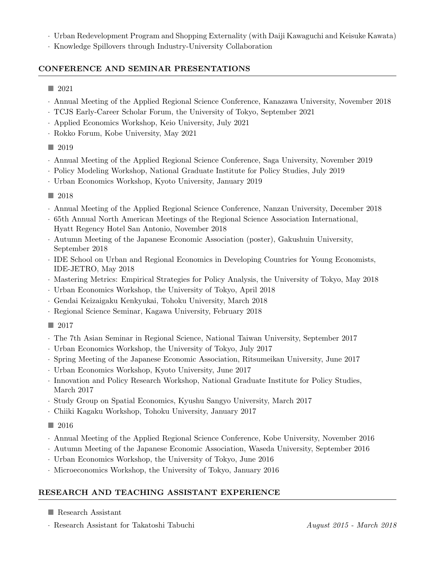- · Urban Redevelopment Program and Shopping Externality (with Daiji Kawaguchi and Keisuke Kawata)
- · Knowledge Spillovers through Industry-University Collaboration

## CONFERENCE AND SEMINAR PRESENTATIONS

- 2021
- · Annual Meeting of the Applied Regional Science Conference, Kanazawa University, November 2018
- · TCJS Early-Career Scholar Forum, the University of Tokyo, September 2021
- · Applied Economics Workshop, Keio University, July 2021
- · Rokko Forum, Kobe University, May 2021
- 2019
- · Annual Meeting of the Applied Regional Science Conference, Saga University, November 2019
- · Policy Modeling Workshop, National Graduate Institute for Policy Studies, July 2019
- · Urban Economics Workshop, Kyoto University, January 2019
- 2018
- · Annual Meeting of the Applied Regional Science Conference, Nanzan University, December 2018
- · 65th Annual North American Meetings of the Regional Science Association International, Hyatt Regency Hotel San Antonio, November 2018
- · Autumn Meeting of the Japanese Economic Association (poster), Gakushuin University, September 2018
- · IDE School on Urban and Regional Economics in Developing Countries for Young Economists, IDE-JETRO, May 2018
- · Mastering Metrics: Empirical Strategies for Policy Analysis, the University of Tokyo, May 2018
- · Urban Economics Workshop, the University of Tokyo, April 2018
- · Gendai Keizaigaku Kenkyukai, Tohoku University, March 2018
- · Regional Science Seminar, Kagawa University, February 2018
- $\Box$  2017
- · The 7th Asian Seminar in Regional Science, National Taiwan University, September 2017
- · Urban Economics Workshop, the University of Tokyo, July 2017
- · Spring Meeting of the Japanese Economic Association, Ritsumeikan University, June 2017
- · Urban Economics Workshop, Kyoto University, June 2017
- · Innovation and Policy Research Workshop, National Graduate Institute for Policy Studies, March 2017
- · Study Group on Spatial Economics, Kyushu Sangyo University, March 2017
- · Chiiki Kagaku Workshop, Tohoku University, January 2017
- $\Box$  2016
- · Annual Meeting of the Applied Regional Science Conference, Kobe University, November 2016
- · Autumn Meeting of the Japanese Economic Association, Waseda University, September 2016
- · Urban Economics Workshop, the University of Tokyo, June 2016
- · Microeconomics Workshop, the University of Tokyo, January 2016

## RESEARCH AND TEACHING ASSISTANT EXPERIENCE

- Research Assistant
- · Research Assistant for Takatoshi Tabuchi August 2015 March 2018